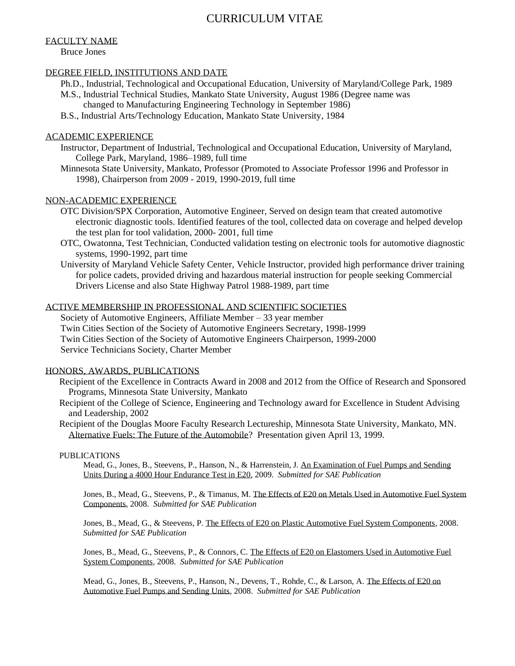# CURRICULUM VITAE

# FACULTY NAME

Bruce Jones

## DEGREE FIELD, INSTITUTIONS AND DATE

- Ph.D., Industrial, Technological and Occupational Education, University of Maryland/College Park, 1989 M.S., Industrial Technical Studies, Mankato State University, August 1986 (Degree name was
	- changed to Manufacturing Engineering Technology in September 1986)
- B.S., Industrial Arts/Technology Education, Mankato State University, 1984

## ACADEMIC EXPERIENCE

- Instructor, Department of Industrial, Technological and Occupational Education, University of Maryland, College Park, Maryland, 1986–1989, full time
- Minnesota State University, Mankato, Professor (Promoted to Associate Professor 1996 and Professor in 1998), Chairperson from 2009 - 2019, 1990-2019, full time

#### NON-ACADEMIC EXPERIENCE

- OTC Division/SPX Corporation, Automotive Engineer, Served on design team that created automotive electronic diagnostic tools. Identified features of the tool, collected data on coverage and helped develop the test plan for tool validation, 2000- 2001, full time
- OTC, Owatonna, Test Technician, Conducted validation testing on electronic tools for automotive diagnostic systems, 1990-1992, part time
- University of Maryland Vehicle Safety Center, Vehicle Instructor, provided high performance driver training for police cadets, provided driving and hazardous material instruction for people seeking Commercial Drivers License and also State Highway Patrol 1988-1989, part time

#### ACTIVE MEMBERSHIP IN PROFESSIONAL AND SCIENTIFIC SOCIETIES

Society of Automotive Engineers, Affiliate Member – 33 year member Twin Cities Section of the Society of Automotive Engineers Secretary, 1998-1999 Twin Cities Section of the Society of Automotive Engineers Chairperson, 1999-2000 Service Technicians Society, Charter Member

#### HONORS, AWARDS, PUBLICATIONS

- Recipient of the Excellence in Contracts Award in 2008 and 2012 from the Office of Research and Sponsored Programs, Minnesota State University, Mankato
- Recipient of the College of Science, Engineering and Technology award for Excellence in Student Advising and Leadership, 2002
- Recipient of the Douglas Moore Faculty Research Lectureship, Minnesota State University, Mankato, MN. Alternative Fuels: The Future of the Automobile? Presentation given April 13, 1999.

#### PUBLICATIONS

Mead, G., Jones, B., Steevens, P., Hanson, N., & Harrenstein, J. An Examination of Fuel Pumps and Sending Units During a 4000 Hour Endurance Test in E20, 2009. *Submitted for SAE Publication*

Jones, B., Mead, G., Steevens, P., & Timanus, M. The Effects of E20 on Metals Used in Automotive Fuel System Components, 2008. *Submitted for SAE Publication*

Jones, B., Mead, G., & Steevens, P. The Effects of E20 on Plastic Automotive Fuel System Components, 2008. *Submitted for SAE Publication*

Jones, B., Mead, G., Steevens, P., & Connors, C. The Effects of E20 on Elastomers Used in Automotive Fuel System Components*,* 2008. *Submitted for SAE Publication*

Mead, G., Jones, B., Steevens, P., Hanson, N., Devens, T., Rohde, C., & Larson, A. The Effects of E20 on Automotive Fuel Pumps and Sending Units, 2008. *Submitted for SAE Publication*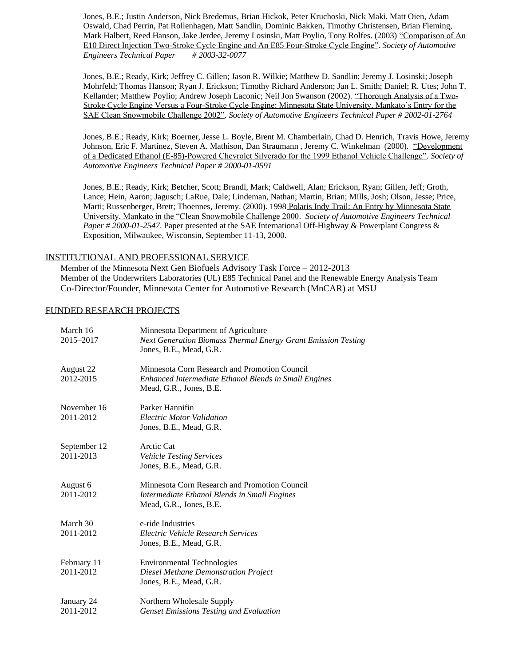Jones, B.E.; Justin Anderson, Nick Bredemus, Brian Hickok, Peter Kruchoski, Nick Maki, Matt Oien, Adam Oswald, Chad Perrin, Pat Rollenhagen, Matt Sandlin, Dominic Bakken, Timothy Christensen, Brian Fleming, Mark Halbert, Reed Hanson, Jake Jerdee, Jeremy Losinski, Matt Poylio, Tony Rolfes. (2003) "Comparison of An E10 Direct Injection Two-Stroke Cycle Engine and An E85 Four-Stroke Cycle Engine". *Society of Automotive Engineers Technical Paper # 2003-32-0077*

Jones, B.E.; Ready, Kirk; Jeffrey C. Gillen; Jason R. Wilkie; Matthew D. Sandlin; Jeremy J. Losinski; Joseph Mohrfeld; Thomas Hanson; Ryan J. Erickson; Timothy Richard Anderson; Jan L. Smith; Daniel; R. Utes; John T. Kellander; Matthew Poylio; Andrew Joseph Laconic; Neil Jon Swanson (2002). "Thorough Analysis of a Two-Stroke Cycle Engine Versus a Four-Stroke Cycle Engine: Minnesota State University, Mankato's Entry for the SAE Clean Snowmobile Challenge 2002". *Society of Automotive Engineers Technical Paper # 2002-01-2764*

Jones, B.E.; Ready, Kirk; Boerner, Jesse L. Boyle, Brent M. Chamberlain, Chad D. Henrich, Travis Howe, Jeremy Johnson, Eric F. Martinez, Steven A. Mathison, Dan Straumann , Jeremy C. Winkelman (2000). "Development of a Dedicated Ethanol (E-85)-Powered Chevrolet Silverado for the 1999 Ethanol Vehicle Challenge". *Society of Automotive Engineers Technical Paper # 2000-01-0591*

Jones, B.E.; Ready, Kirk; Betcher, Scott; Brandl, Mark; Caldwell, Alan; Erickson, Ryan; Gillen, Jeff; Groth, Lance; Hein, Aaron; Jagusch; LaRue, Dale; Lindeman, Nathan; Martin, Brian; Mills, Josh; Olson, Jesse; Price, Marti; Russenberger, Brett; Thoennes, Jeremy. (2000). 1998 Polaris Indy Trail: An Entry by Minnesota State University, Mankato in the "Clean Snowmobile Challenge 2000. *Society of Automotive Engineers Technical Paper # 2000-01-2547*. Paper presented at the SAE International Off-Highway & Powerplant Congress & Exposition, Milwaukee, Wisconsin, September 11-13, 2000.

#### INSTITUTIONAL AND PROFESSIONAL SERVICE

Member of the Minnesota Next Gen Biofuels Advisory Task Force – 2012-2013 Member of the Underwriters Laboratories (UL) E85 Technical Panel and the Renewable Energy Analysis Team Co-Director/Founder, Minnesota Center for Automotive Research (MnCAR) at MSU

#### FUNDED RESEARCH PROJECTS

| March 16<br>2015-2017     | Minnesota Department of Agriculture<br>Next Generation Biomass Thermal Energy Grant Emission Testing<br>Jones, B.E., Mead, G.R.   |
|---------------------------|-----------------------------------------------------------------------------------------------------------------------------------|
| August 22<br>2012-2015    | Minnesota Corn Research and Promotion Council<br>Enhanced Intermediate Ethanol Blends in Small Engines<br>Mead, G.R., Jones, B.E. |
| November 16<br>2011-2012  | Parker Hannifin<br><b>Electric Motor Validation</b><br>Jones, B.E., Mead, G.R.                                                    |
| September 12<br>2011-2013 | Arctic Cat<br>Vehicle Testing Services<br>Jones, B.E., Mead, G.R.                                                                 |
| August 6<br>2011-2012     | Minnesota Corn Research and Promotion Council<br>Intermediate Ethanol Blends in Small Engines<br>Mead, G.R., Jones, B.E.          |
| March 30<br>2011-2012     | e-ride Industries<br>Electric Vehicle Research Services<br>Jones, B.E., Mead, G.R.                                                |
| February 11<br>2011-2012  | <b>Environmental Technologies</b><br>Diesel Methane Demonstration Project<br>Jones, B.E., Mead, G.R.                              |
| January 24<br>2011-2012   | Northern Wholesale Supply<br><b>Genset Emissions Testing and Evaluation</b>                                                       |